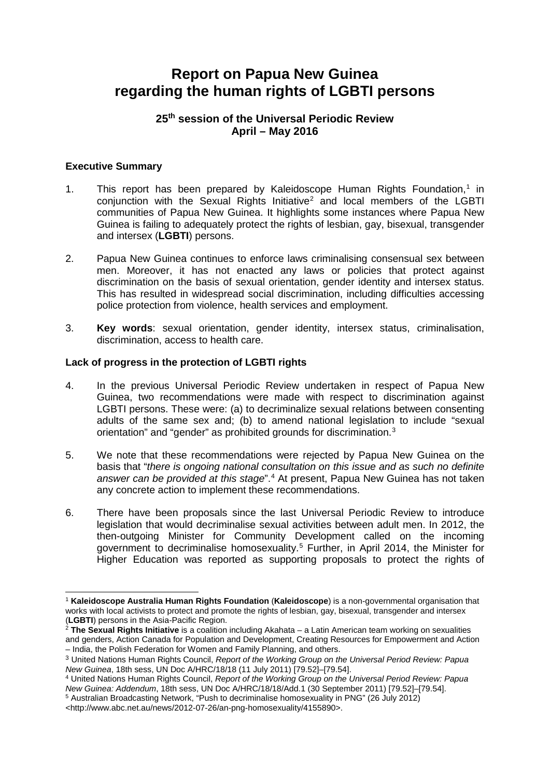# **Report on Papua New Guinea regarding the human rights of LGBTI persons**

# **25th session of the Universal Periodic Review April – May 2016**

# **Executive Summary**

- [1](#page-0-0). This report has been prepared by Kaleidoscope Human Rights Foundation,<sup>1</sup> in conjunction with the Sexual Rights Initiative<sup>[2](#page-0-1)</sup> and local members of the LGBTI communities of Papua New Guinea. It highlights some instances where Papua New Guinea is failing to adequately protect the rights of lesbian, gay, bisexual, transgender and intersex (**LGBTI**) persons.
- 2. Papua New Guinea continues to enforce laws criminalising consensual sex between men. Moreover, it has not enacted any laws or policies that protect against discrimination on the basis of sexual orientation, gender identity and intersex status. This has resulted in widespread social discrimination, including difficulties accessing police protection from violence, health services and employment.
- 3. **Key words**: sexual orientation, gender identity, intersex status, criminalisation, discrimination, access to health care.

### **Lack of progress in the protection of LGBTI rights**

- 4. In the previous Universal Periodic Review undertaken in respect of Papua New Guinea, two recommendations were made with respect to discrimination against LGBTI persons. These were: (a) to decriminalize sexual relations between consenting adults of the same sex and; (b) to amend national legislation to include "sexual orientation" and "gender" as prohibited grounds for discrimination.[3](#page-0-2)
- 5. We note that these recommendations were rejected by Papua New Guinea on the basis that "*there is ongoing national consultation on this issue and as such no definite answer can be provided at this stage*".[4](#page-0-3) At present, Papua New Guinea has not taken any concrete action to implement these recommendations.
- 6. There have been proposals since the last Universal Periodic Review to introduce legislation that would decriminalise sexual activities between adult men. In 2012, the then-outgoing Minister for Community Development called on the incoming government to decriminalise homosexuality.[5](#page-0-4) Further, in April 2014, the Minister for Higher Education was reported as supporting proposals to protect the rights of

<span id="page-0-0"></span><sup>-</sup><sup>1</sup> **Kaleidoscope Australia Human Rights Foundation** (**Kaleidoscope**) is a non-governmental organisation that works with local activists to protect and promote the rights of lesbian, gay, bisexual, transgender and intersex (**LGBTI**) persons in the Asia-Pacific Region.

<span id="page-0-1"></span><sup>2</sup> **The Sexual Rights Initiative** is a coalition including Akahata – a Latin American team working on sexualities and genders, Action Canada for Population and Development, Creating Resources for Empowerment and Action – India, the Polish Federation for Women and Family Planning, and others.

<span id="page-0-2"></span><sup>3</sup> United Nations Human Rights Council, *Report of the Working Group on the Universal Period Review: Papua New Guinea*, 18th sess, UN Doc A/HRC/18/18 (11 July 2011) [79.52]–[79.54].

<span id="page-0-3"></span><sup>4</sup> United Nations Human Rights Council, *Report of the Working Group on the Universal Period Review: Papua New Guinea: Addendum*, 18th sess, UN Doc A/HRC/18/18/Add.1 (30 September 2011) [79.52]–[79.54]. <sup>5</sup> Australian Broadcasting Network, "Push to decriminalise homosexuality in PNG" (26 July 2012)

<span id="page-0-4"></span><sup>&</sup>lt;http://www.abc.net.au/news/2012-07-26/an-png-homosexuality/4155890>.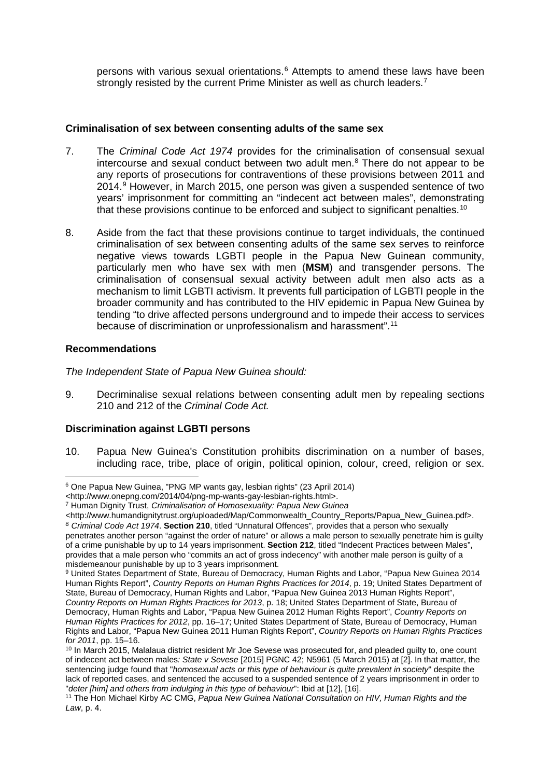persons with various sexual orientations.[6](#page-1-0) Attempts to amend these laws have been strongly resisted by the current Prime Minister as well as church leaders.<sup>[7](#page-1-1)</sup>

# **Criminalisation of sex between consenting adults of the same sex**

- 7. The *Criminal Code Act 1974* provides for the criminalisation of consensual sexual intercourse and sexual conduct between two adult men. [8](#page-1-2) There do not appear to be any reports of prosecutions for contraventions of these provisions between 2011 and 2014.[9](#page-1-3) However, in March 2015, one person was given a suspended sentence of two years' imprisonment for committing an "indecent act between males", demonstrating that these provisions continue to be enforced and subject to significant penalties.<sup>[10](#page-1-4)</sup>
- 8. Aside from the fact that these provisions continue to target individuals, the continued criminalisation of sex between consenting adults of the same sex serves to reinforce negative views towards LGBTI people in the Papua New Guinean community, particularly men who have sex with men (**MSM**) and transgender persons. The criminalisation of consensual sexual activity between adult men also acts as a mechanism to limit LGBTI activism. It prevents full participation of LGBTI people in the broader community and has contributed to the HIV epidemic in Papua New Guinea by tending "to drive affected persons underground and to impede their access to services because of discrimination or unprofessionalism and harassment".[11](#page-1-5)

### **Recommendations**

-

*The Independent State of Papua New Guinea should:*

9. Decriminalise sexual relations between consenting adult men by repealing sections 210 and 212 of the *Criminal Code Act.*

# **Discrimination against LGBTI persons**

10. Papua New Guinea's Constitution prohibits discrimination on a number of bases, including race, tribe, place of origin, political opinion, colour, creed, religion or sex.

<span id="page-1-0"></span><sup>6</sup> One Papua New Guinea, "PNG MP wants gay, lesbian rights" (23 April 2014)

<sup>&</sup>lt;http://www.onepng.com/2014/04/png-mp-wants-gay-lesbian-rights.html>.

<span id="page-1-1"></span><sup>7</sup> Human Dignity Trust, *Criminalisation of Homosexuality: Papua New Guinea*

<span id="page-1-2"></span><sup>&</sup>lt;http://www.humandignitytrust.org/uploaded/Map/Commonwealth\_Country\_Reports/Papua\_New\_Guinea.pdf>. <sup>8</sup> *Criminal Code Act 1974*. **Section 210**, titled "Unnatural Offences", provides that a person who sexually penetrates another person "against the order of nature" or allows a male person to sexually penetrate him is guilty of a crime punishable by up to 14 years imprisonment. **Section 212**, titled "Indecent Practices between Males", provides that a male person who "commits an act of gross indecency" with another male person is guilty of a misdemeanour punishable by up to 3 years imprisonment.

<span id="page-1-3"></span><sup>9</sup> United States Department of State, Bureau of Democracy, Human Rights and Labor, "Papua New Guinea 2014 Human Rights Report", *Country Reports on Human Rights Practices for 2014*, p. 19; United States Department of State, Bureau of Democracy, Human Rights and Labor, "Papua New Guinea 2013 Human Rights Report", *Country Reports on Human Rights Practices for 2013*, p. 18; United States Department of State, Bureau of Democracy, Human Rights and Labor, "Papua New Guinea 2012 Human Rights Report", *Country Reports on Human Rights Practices for 2012*, pp. 16–17; United States Department of State, Bureau of Democracy, Human Rights and Labor, "Papua New Guinea 2011 Human Rights Report", *Country Reports on Human Rights Practices for 2011*, pp. 15–16.

<span id="page-1-4"></span><sup>&</sup>lt;sup>10</sup> In March 2015, Malalaua district resident Mr Joe Sevese was prosecuted for, and pleaded guilty to, one count of indecent act between males*: State v Sevese* [2015] PGNC 42; N5961 (5 March 2015) at [2]. In that matter, the sentencing judge found that "*homosexual acts or this type of behaviour is quite prevalent in society*" despite the lack of reported cases, and sentenced the accused to a suspended sentence of 2 years imprisonment in order to "*deter [him] and others from indulging in this type of behaviour*": Ibid at [12], [16].

<span id="page-1-5"></span><sup>11</sup> The Hon Michael Kirby AC CMG, *Papua New Guinea National Consultation on HIV, Human Rights and the Law*, p. 4.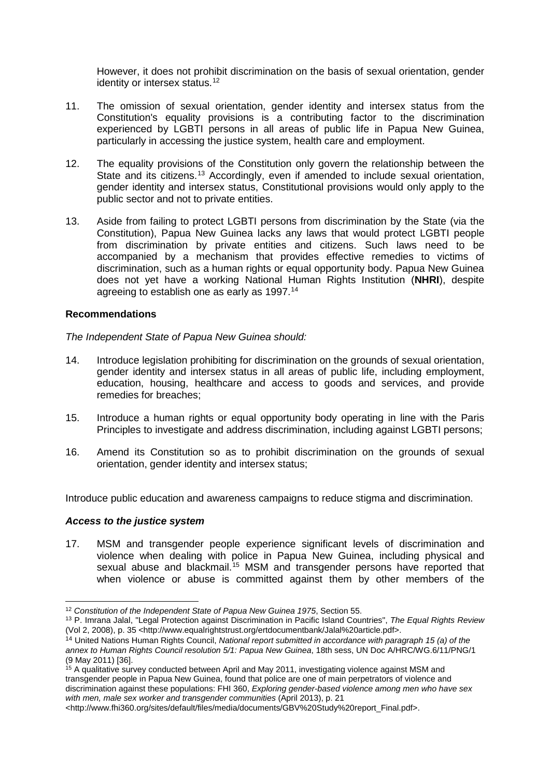However, it does not prohibit discrimination on the basis of sexual orientation, gender identity or intersex status.<sup>[12](#page-2-0)</sup>

- 11. The omission of sexual orientation, gender identity and intersex status from the Constitution's equality provisions is a contributing factor to the discrimination experienced by LGBTI persons in all areas of public life in Papua New Guinea, particularly in accessing the justice system, health care and employment.
- 12. The equality provisions of the Constitution only govern the relationship between the State and its citizens.<sup>[13](#page-2-1)</sup> Accordingly, even if amended to include sexual orientation, gender identity and intersex status, Constitutional provisions would only apply to the public sector and not to private entities.
- 13. Aside from failing to protect LGBTI persons from discrimination by the State (via the Constitution), Papua New Guinea lacks any laws that would protect LGBTI people from discrimination by private entities and citizens. Such laws need to be accompanied by a mechanism that provides effective remedies to victims of discrimination, such as a human rights or equal opportunity body. Papua New Guinea does not yet have a working National Human Rights Institution (**NHRI**), despite agreeing to establish one as early as 1997.<sup>[14](#page-2-2)</sup>

### **Recommendations**

### *The Independent State of Papua New Guinea should:*

- 14. Introduce legislation prohibiting for discrimination on the grounds of sexual orientation, gender identity and intersex status in all areas of public life, including employment, education, housing, healthcare and access to goods and services, and provide remedies for breaches;
- 15. Introduce a human rights or equal opportunity body operating in line with the Paris Principles to investigate and address discrimination, including against LGBTI persons;
- 16. Amend its Constitution so as to prohibit discrimination on the grounds of sexual orientation, gender identity and intersex status;

Introduce public education and awareness campaigns to reduce stigma and discrimination.

#### *Access to the justice system*

17. MSM and transgender people experience significant levels of discrimination and violence when dealing with police in Papua New Guinea, including physical and sexual abuse and blackmail.<sup>[15](#page-2-3)</sup> MSM and transgender persons have reported that when violence or abuse is committed against them by other members of the

<span id="page-2-0"></span><sup>-</sup><sup>12</sup> *Constitution of the Independent State of Papua New Guinea 1975*, Section 55.

<span id="page-2-1"></span><sup>13</sup> P. Imrana Jalal, "Legal Protection against Discrimination in Pacific Island Countries", *The Equal Rights Review*  (Vol 2, 2008), p. 35 <http://www.equalrightstrust.org/ertdocumentbank/Jalal%20article.pdf>.

<span id="page-2-2"></span><sup>14</sup> United Nations Human Rights Council, *National report submitted in accordance with paragraph 15 (a) of the annex to Human Rights Council resolution 5/1: Papua New Guinea*, 18th sess, UN Doc A/HRC/WG.6/11/PNG/1 (9 May 2011) [36].

<span id="page-2-3"></span><sup>&</sup>lt;sup>15</sup> A qualitative survey conducted between April and May 2011, investigating violence against MSM and transgender people in Papua New Guinea, found that police are one of main perpetrators of violence and discrimination against these populations: FHI 360, *Exploring gender-based violence among men who have sex with men, male sex worker and transgender communities* (April 2013), p. 21

<sup>&</sup>lt;http://www.fhi360.org/sites/default/files/media/documents/GBV%20Study%20report\_Final.pdf>.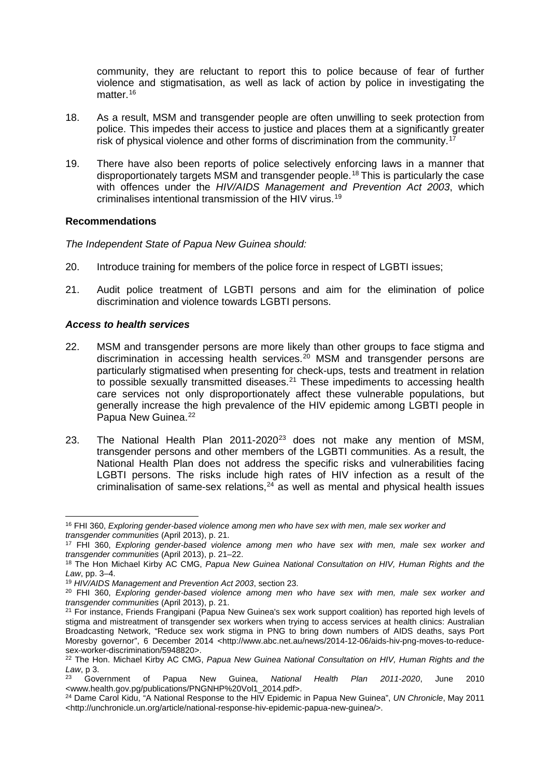community, they are reluctant to report this to police because of fear of further violence and stigmatisation, as well as lack of action by police in investigating the matter.<sup>[16](#page-3-0)</sup>

- 18. As a result, MSM and transgender people are often unwilling to seek protection from police. This impedes their access to justice and places them at a significantly greater risk of physical violence and other forms of discrimination from the community.<sup>1</sup>
- 19. There have also been reports of police selectively enforcing laws in a manner that disproportionately targets MSM and transgender people.[18](#page-3-2) This is particularly the case with offences under the *HIV/AIDS Management and Prevention Act 2003*, which criminalises intentional transmission of the HIV virus.[19](#page-3-3)

### **Recommendations**

*The Independent State of Papua New Guinea should:*

- 20. Introduce training for members of the police force in respect of LGBTI issues;
- 21. Audit police treatment of LGBTI persons and aim for the elimination of police discrimination and violence towards LGBTI persons.

### *Access to health services*

- 22. MSM and transgender persons are more likely than other groups to face stigma and discrimination in accessing health services.<sup>[20](#page-3-4)</sup> MSM and transgender persons are particularly stigmatised when presenting for check-ups, tests and treatment in relation to possible sexually transmitted diseases.<sup>[21](#page-3-5)</sup> These impediments to accessing health care services not only disproportionately affect these vulnerable populations, but generally increase the high prevalence of the HIV epidemic among LGBTI people in Papua New Guinea.<sup>[22](#page-3-6)</sup>
- [23](#page-3-7). The National Health Plan 2011-2020<sup>23</sup> does not make any mention of MSM, transgender persons and other members of the LGBTI communities. As a result, the National Health Plan does not address the specific risks and vulnerabilities facing LGBTI persons. The risks include high rates of HIV infection as a result of the criminalisation of same-sex relations, $24$  as well as mental and physical health issues

<span id="page-3-0"></span><sup>-</sup><sup>16</sup> FHI 360, *Exploring gender-based violence among men who have sex with men, male sex worker and transgender communities* (April 2013), p. 21.

<span id="page-3-1"></span><sup>17</sup> FHI 360, *Exploring gender-based violence among men who have sex with men, male sex worker and transgender communities* (April 2013), p. 21–22.

<span id="page-3-2"></span><sup>18</sup> The Hon Michael Kirby AC CMG, *Papua New Guinea National Consultation on HIV, Human Rights and the Law*, pp. 3–4.

<sup>19</sup> *HIV/AIDS Management and Prevention Act 2003*, section 23.

<span id="page-3-4"></span><span id="page-3-3"></span><sup>20</sup> FHI 360, *Exploring gender-based violence among men who have sex with men, male sex worker and transgender communities* (April 2013), p. 21.

<span id="page-3-5"></span><sup>&</sup>lt;sup>21</sup> For instance, Friends Frangipani (Papua New Guinea's sex work support coalition) has reported high levels of stigma and mistreatment of transgender sex workers when trying to access services at health clinics: Australian Broadcasting Network, "Reduce sex work stigma in PNG to bring down numbers of AIDS deaths, says Port Moresby governor", 6 December 2014 <http://www.abc.net.au/news/2014-12-06/aids-hiv-png-moves-to-reducesex-worker-discrimination/5948820>.

<span id="page-3-6"></span><sup>22</sup> The Hon. Michael Kirby AC CMG, *Papua New Guinea National Consultation on HIV, Human Rights and the Law*, p 3.

<span id="page-3-7"></span><sup>23</sup> Government of Papua New Guinea, *National Health Plan 2011-2020*, June 2010 <www.health.gov.pg/publications/PNGNHP%20Vol1\_2014.pdf>.

<span id="page-3-8"></span><sup>24</sup> Dame Carol Kidu, "A National Response to the HIV Epidemic in Papua New Guinea", *UN Chronicle*, May 2011 <http://unchronicle.un.org/article/national-response-hiv-epidemic-papua-new-guinea/>.